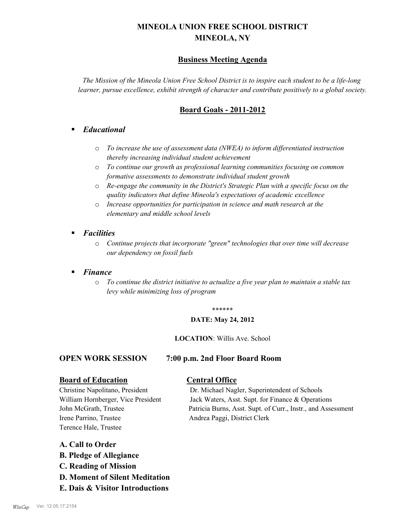# **MINEOLA UNION FREE SCHOOL DISTRICT MINEOLA, NY**

# **Business Meeting Agenda**

*The Mission of the Mineola Union Free School District is to inspire each student to be a life-long learner, pursue excellence, exhibit strength of character and contribute positively to a global society.*

# **Board Goals - 2011-2012**

# § *Educational*

- o *To increase the use of assessment data (NWEA) to inform differentiated instruction thereby increasing individual student achievement*
- o *To continue our growth as professional learning communities focusing on common formative assessments to demonstrate individual student growth*
- o *Re-engage the community in the District's Strategic Plan with a specific focus on the quality indicators that define Mineola's expectations of academic excellence*
- o *Increase opportunities for participation in science and math research at the elementary and middle school levels*
- *Facilities* 
	- o *Continue projects that incorporate "green" technologies that over time will decrease our dependency on fossil fuels*
- § *Finance*
	- o *To continue the district initiative to actualize a five year plan to maintain a stable tax levy while minimizing loss of program*

### \*\*\*\*\*\*

### **DATE: May 24, 2012**

### **LOCATION**: Willis Ave. School

### **OPEN WORK SESSION 7:00 p.m. 2nd Floor Board Room**

### **Board of Education Central Office**

Irene Parrino, Trustee Andrea Paggi, District Clerk Terence Hale, Trustee

Christine Napolitano, President Dr. Michael Nagler, Superintendent of Schools William Hornberger, Vice President Jack Waters, Asst. Supt. for Finance & Operations John McGrath, Trustee Patricia Burns, Asst. Supt. of Curr., Instr., and Assessment

### **A. Call to Order**

- **B. Pledge of Allegiance**
- **C. Reading of Mission**
- **D. Moment of Silent Meditation**
- **E. Dais & Visitor Introductions**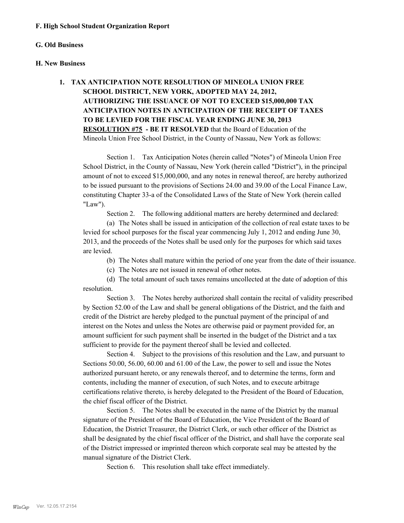### **G. Old Business**

### **H. New Business**

# **1. TAX ANTICIPATION NOTE RESOLUTION OF MINEOLA UNION FREE SCHOOL DISTRICT, NEW YORK, ADOPTED MAY 24, 2012, AUTHORIZING THE ISSUANCE OF NOT TO EXCEED \$15,000,000 TAX ANTICIPATION NOTES IN ANTICIPATION OF THE RECEIPT OF TAXES TO BE LEVIED FOR THE FISCAL YEAR ENDING JUNE 30, 2013 RESOLUTION #75 - BE IT RESOLVED** that the Board of Education of the Mineola Union Free School District, in the County of Nassau, New York as follows:

Section 1. Tax Anticipation Notes (herein called "Notes") of Mineola Union Free School District, in the County of Nassau, New York (herein called "District"), in the principal amount of not to exceed \$15,000,000, and any notes in renewal thereof, are hereby authorized to be issued pursuant to the provisions of Sections 24.00 and 39.00 of the Local Finance Law, constituting Chapter 33-a of the Consolidated Laws of the State of New York (herein called "Law").

Section 2. The following additional matters are hereby determined and declared:

(a) The Notes shall be issued in anticipation of the collection of real estate taxes to be levied for school purposes for the fiscal year commencing July 1, 2012 and ending June 30, 2013, and the proceeds of the Notes shall be used only for the purposes for which said taxes are levied.

(b) The Notes shall mature within the period of one year from the date of their issuance.

(c) The Notes are not issued in renewal of other notes.

(d) The total amount of such taxes remains uncollected at the date of adoption of this resolution.

Section 3. The Notes hereby authorized shall contain the recital of validity prescribed by Section 52.00 of the Law and shall be general obligations of the District, and the faith and credit of the District are hereby pledged to the punctual payment of the principal of and interest on the Notes and unless the Notes are otherwise paid or payment provided for, an amount sufficient for such payment shall be inserted in the budget of the District and a tax sufficient to provide for the payment thereof shall be levied and collected.

Section 4. Subject to the provisions of this resolution and the Law, and pursuant to Sections 50.00, 56.00, 60.00 and 61.00 of the Law, the power to sell and issue the Notes authorized pursuant hereto, or any renewals thereof, and to determine the terms, form and contents, including the manner of execution, of such Notes, and to execute arbitrage certifications relative thereto, is hereby delegated to the President of the Board of Education, the chief fiscal officer of the District.

Section 5. The Notes shall be executed in the name of the District by the manual signature of the President of the Board of Education, the Vice President of the Board of Education, the District Treasurer, the District Clerk, or such other officer of the District as shall be designated by the chief fiscal officer of the District, and shall have the corporate seal of the District impressed or imprinted thereon which corporate seal may be attested by the manual signature of the District Clerk.

Section 6. This resolution shall take effect immediately.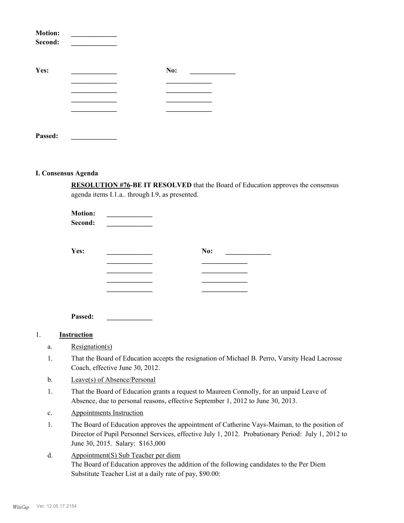| <b>Motion:</b><br>Second: |     |  |
|---------------------------|-----|--|
| Yes:                      | No: |  |
|                           |     |  |
|                           |     |  |
|                           |     |  |
|                           |     |  |
| Passed.                   |     |  |

### **I. Consensus Agenda**

**RESOLUTION #76-BE IT RESOLVED** that the Board of Education approves the consensus agenda items I.1.a.. through I.9, as presented.

| <b>Motion:</b><br>Second: |     |  |
|---------------------------|-----|--|
| Yes:                      | No: |  |
|                           |     |  |
|                           |     |  |
|                           |     |  |

**Passed: \_\_\_\_\_\_\_\_\_\_\_\_\_**

### 1. **Instruction**

- a. Resignation(s)
- That the Board of Education accepts the resignation of Michael B. Perro, Varsity Head Lacrosse Coach, effective June 30, 2012. 1.
- b. Leave(s) of Absence/Personal
- That the Board of Education grants a request to Maureen Connolly, for an unpaid Leave of Absence, due to personal reasons, effective September 1, 2012 to June 30, 2013. 1.
- c. Appointments Instruction
- The Board of Education approves the appointment of Catherine Vays-Maiman, to the position of Director of Pupil Personnel Services, effective July 1, 2012. Probationary Period: July 1, 2012 to June 30, 2015. Salary: \$163,000 1.
- Appointment(S) Sub Teacher per diem The Board of Education approves the addition of the following candidates to the Per Diem Substitute Teacher List at a daily rate of pay, \$90.00: d.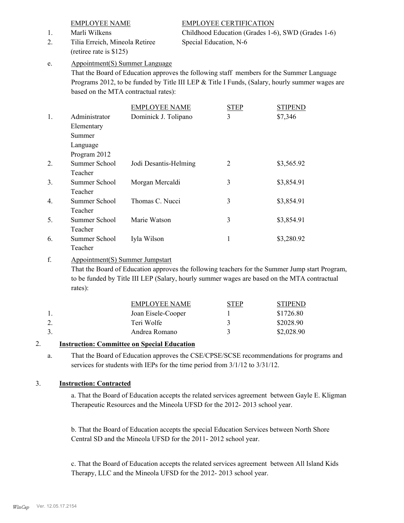# Tilia Erreich, Mineola Retiree 2. Special Education, N-6 (retiree rate is \$125)

EMPLOYEE NAME EMPLOYEE CERTIFICATION 1. Marli Wilkens Childhood Education (Grades 1-6), SWD (Grades 1-6)

### Appointment(S) Summer Language e.

That the Board of Education approves the following staff members for the Summer Language Programs 2012, to be funded by Title III LEP & Title I Funds, (Salary, hourly summer wages are based on the MTA contractual rates):

|                |               | <b>EMPLOYEE NAME</b>  | <b>STEP</b> | <b>STIPEND</b> |
|----------------|---------------|-----------------------|-------------|----------------|
| 1.             | Administrator | Dominick J. Tolipano  | 3           | \$7,346        |
|                | Elementary    |                       |             |                |
|                | Summer        |                       |             |                |
|                | Language      |                       |             |                |
|                | Program 2012  |                       |             |                |
| 2.             | Summer School | Jodi Desantis-Helming | 2           | \$3,565.92     |
|                | Teacher       |                       |             |                |
| 3 <sub>1</sub> | Summer School | Morgan Mercaldi       | 3           | \$3,854.91     |
|                | Teacher       |                       |             |                |
| 4.             | Summer School | Thomas C. Nucci       | 3           | \$3,854.91     |
|                | Teacher       |                       |             |                |
| 5.             | Summer School | Marie Watson          | 3           | \$3,854.91     |
|                | Teacher       |                       |             |                |
| 6.             | Summer School | Iyla Wilson           | 1           | \$3,280.92     |
|                | Teacher       |                       |             |                |

### Appointment(S) Summer Jumpstart f.

That the Board of Education approves the following teachers for the Summer Jump start Program, to be funded by Title III LEP (Salary, hourly summer wages are based on the MTA contractual rates):

| EMPLOYEE NAME      | STEP | <b>STIPEND</b> |
|--------------------|------|----------------|
| Joan Eisele-Cooper |      | \$1726.80      |
| Teri Wolfe         |      | \$2028.90      |
| Andrea Romano      |      | \$2,028.90     |

# 2. **Instruction: Committee on Special Education**

That the Board of Education approves the CSE/CPSE/SCSE recommendations for programs and services for students with IEPs for the time period from 3/1/12 to 3/31/12. a.

# 3. **Instruction: Contracted**

a. That the Board of Education accepts the related services agreement between Gayle E. Kligman Therapeutic Resources and the Mineola UFSD for the 2012- 2013 school year.

b. That the Board of Education accepts the special Education Services between North Shore Central SD and the Mineola UFSD for the 2011- 2012 school year.

c. That the Board of Education accepts the related services agreement between All Island Kids Therapy, LLC and the Mineola UFSD for the 2012- 2013 school year.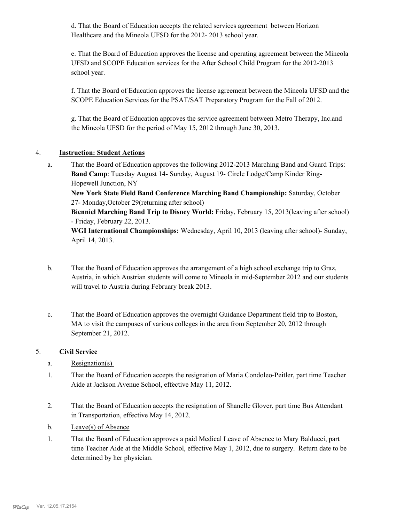d. That the Board of Education accepts the related services agreement between Horizon Healthcare and the Mineola UFSD for the 2012- 2013 school year.

e. That the Board of Education approves the license and operating agreement between the Mineola UFSD and SCOPE Education services for the After School Child Program for the 2012-2013 school year.

f. That the Board of Education approves the license agreement between the Mineola UFSD and the SCOPE Education Services for the PSAT/SAT Preparatory Program for the Fall of 2012.

g. That the Board of Education approves the service agreement between Metro Therapy, Inc.and the Mineola UFSD for the period of May 15, 2012 through June 30, 2013.

# 4. **Instruction: Student Actions**

That the Board of Education approves the following 2012-2013 Marching Band and Guard Trips: **Band Camp**: Tuesday August 14- Sunday, August 19- Circle Lodge/Camp Kinder Ring-Hopewell Junction, NY a.

**New York State Field Band Conference Marching Band Championship:** Saturday, October 27- Monday,October 29(returning after school)

**Bienniel Marching Band Trip to Disney World:** Friday, February 15, 2013(leaving after school) - Friday, February 22, 2013.

**WGI International Championships:** Wednesday, April 10, 2013 (leaving after school)- Sunday, April 14, 2013.

- That the Board of Education approves the arrangement of a high school exchange trip to Graz, Austria, in which Austrian students will come to Mineola in mid-September 2012 and our students will travel to Austria during February break 2013. b.
- That the Board of Education approves the overnight Guidance Department field trip to Boston, MA to visit the campuses of various colleges in the area from September 20, 2012 through September 21, 2012. c.

### 5. **Civil Service**

- a. Resignation(s)
- That the Board of Education accepts the resignation of Maria Condoleo-Peitler, part time Teacher Aide at Jackson Avenue School, effective May 11, 2012. 1.
- That the Board of Education accepts the resignation of Shanelle Glover, part time Bus Attendant in Transportation, effective May 14, 2012. 2.
- b. Leave(s) of Absence
- That the Board of Education approves a paid Medical Leave of Absence to Mary Balducci, part time Teacher Aide at the Middle School, effective May 1, 2012, due to surgery. Return date to be determined by her physician. 1.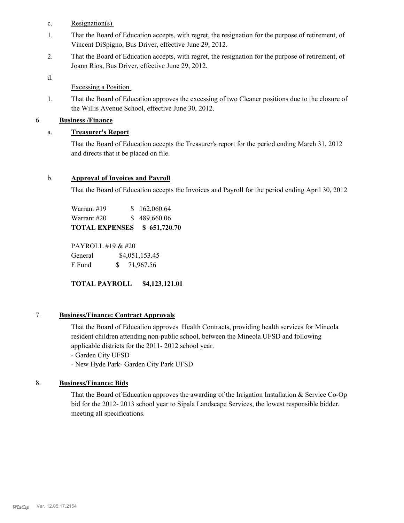- c. Resignation(s)
- That the Board of Education accepts, with regret, the resignation for the purpose of retirement, of Vincent DiSpigno, Bus Driver, effective June 29, 2012. 1.
- That the Board of Education accepts, with regret, the resignation for the purpose of retirement, of Joann Rios, Bus Driver, effective June 29, 2012. 2.
- d.

Excessing a Position

That the Board of Education approves the excessing of two Cleaner positions due to the closure of the Willis Avenue School, effective June 30, 2012. 1.

# 6. **Business /Finance**

# a. **Treasurer's Report**

That the Board of Education accepts the Treasurer's report for the period ending March 31, 2012 and directs that it be placed on file.

# b. **Approval of Invoices and Payroll**

That the Board of Education accepts the Invoices and Payroll for the period ending April 30, 2012

Warrant #19 \$ 162,060.64 Warrant #20 \$ 489,660.06 **TOTAL EXPENSES \$ 651,720.70**

PAYROLL #19 & #20 General  $$4,051,153.45$ F Fund \$ 71,967.56

**TOTAL PAYROLL \$4,123,121.01**

### 7. **Business/Finance: Contract Approvals**

That the Board of Education approves Health Contracts, providing health services for Mineola resident children attending non-public school, between the Mineola UFSD and following applicable districts for the 2011- 2012 school year.

- Garden City UFSD

- New Hyde Park- Garden City Park UFSD

# 8. **Business/Finance: Bids**

That the Board of Education approves the awarding of the Irrigation Installation & Service Co-Op bid for the 2012- 2013 school year to Sipala Landscape Services, the lowest responsible bidder, meeting all specifications.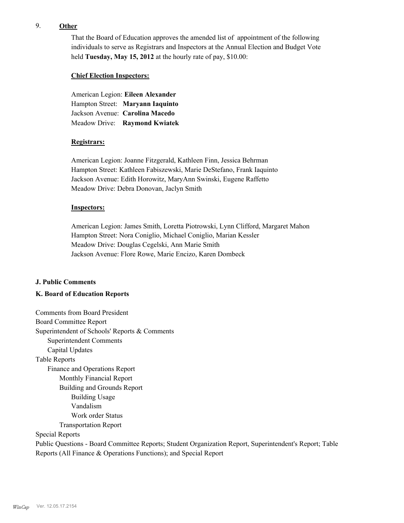## 9. **Other**

That the Board of Education approves the amended list of appointment of the following individuals to serve as Registrars and Inspectors at the Annual Election and Budget Vote held **Tuesday, May 15, 2012** at the hourly rate of pay, \$10.00:

### **Chief Election Inspectors:**

American Legion: **Eileen Alexander**  Hampton Street: **Maryann Iaquinto** Jackson Avenue: **Carolina Macedo** Meadow Drive: **Raymond Kwiatek**

### **Registrars:**

American Legion: Joanne Fitzgerald, Kathleen Finn, Jessica Behrman Hampton Street: Kathleen Fabiszewski, Marie DeStefano, Frank Iaquinto Jackson Avenue: Edith Horowitz, MaryAnn Swinski, Eugene Raffetto Meadow Drive: Debra Donovan, Jaclyn Smith

### **Inspectors:**

American Legion: James Smith, Loretta Piotrowski, Lynn Clifford, Margaret Mahon Hampton Street: Nora Coniglio, Michael Coniglio, Marian Kessler Meadow Drive: Douglas Cegelski, Ann Marie Smith Jackson Avenue: Flore Rowe, Marie Encizo, Karen Dombeck

### **J. Public Comments**

### **K. Board of Education Reports**

Comments from Board President Board Committee Report Superintendent of Schools' Reports & Comments Superintendent Comments Capital Updates Table Reports Finance and Operations Report Monthly Financial Report Building and Grounds Report Building Usage Vandalism Work order Status Transportation Report Special Reports Public Questions - Board Committee Reports; Student Organization Report, Superintendent's Report; Table Reports (All Finance & Operations Functions); and Special Report